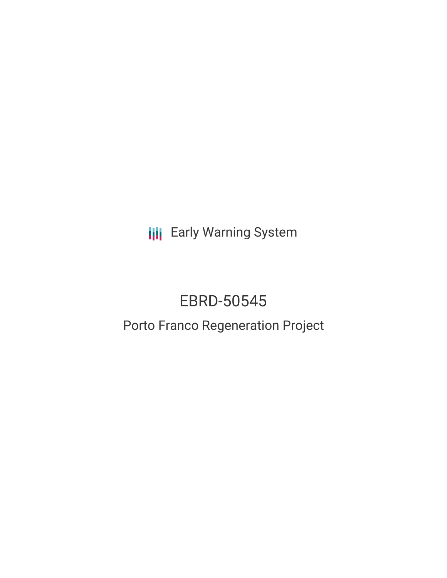**III** Early Warning System

# EBRD-50545

## Porto Franco Regeneration Project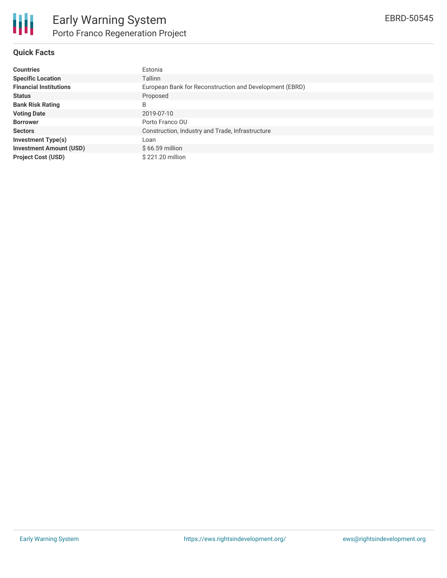#### **Quick Facts**

| <b>Countries</b>               | Estonia                                                 |
|--------------------------------|---------------------------------------------------------|
| <b>Specific Location</b>       | <b>Tallinn</b>                                          |
| <b>Financial Institutions</b>  | European Bank for Reconstruction and Development (EBRD) |
| <b>Status</b>                  | Proposed                                                |
| <b>Bank Risk Rating</b>        | B                                                       |
| <b>Voting Date</b>             | 2019-07-10                                              |
| <b>Borrower</b>                | Porto Franco OU                                         |
| <b>Sectors</b>                 | Construction, Industry and Trade, Infrastructure        |
| <b>Investment Type(s)</b>      | Loan                                                    |
| <b>Investment Amount (USD)</b> | $$66.59$ million                                        |
| <b>Project Cost (USD)</b>      | \$221.20 million                                        |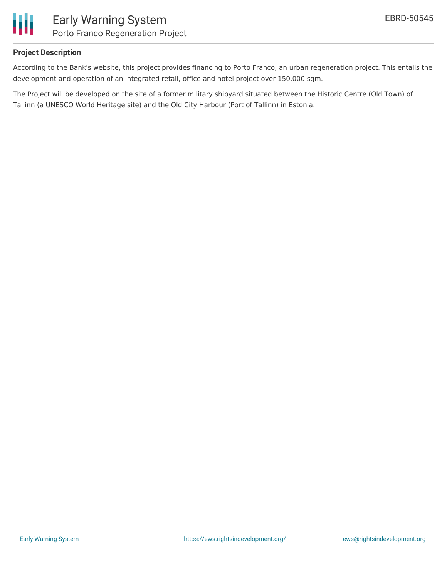

#### **Project Description**

According to the Bank's website, this project provides financing to Porto Franco, an urban regeneration project. This entails the development and operation of an integrated retail, office and hotel project over 150,000 sqm.

The Project will be developed on the site of a former military shipyard situated between the Historic Centre (Old Town) of Tallinn (a UNESCO World Heritage site) and the Old City Harbour (Port of Tallinn) in Estonia.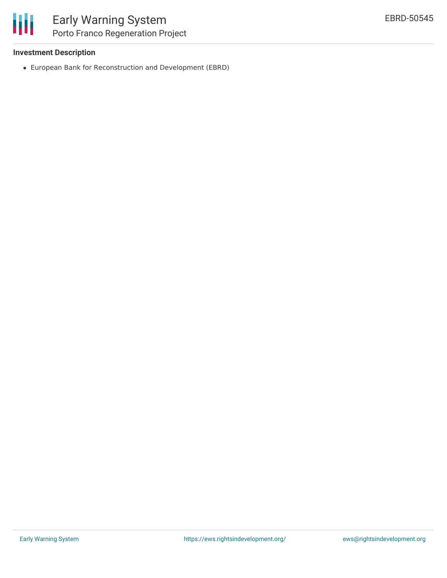

#### **Investment Description**

European Bank for Reconstruction and Development (EBRD)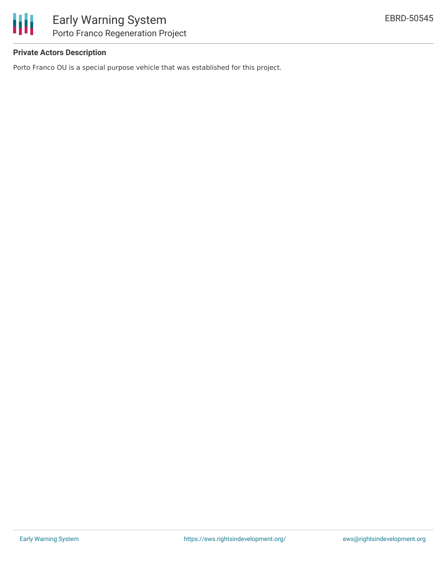

#### **Private Actors Description**

Porto Franco OU is a special purpose vehicle that was established for this project.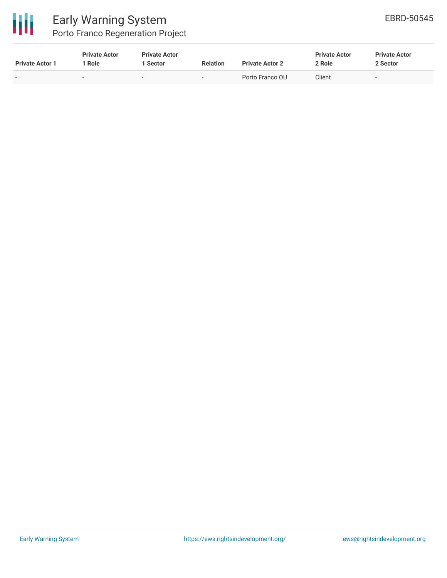

### Early Warning System Porto Franco Regeneration Project

| <b>Private Actor 1</b> | <b>Private Actor</b><br>' Role | <b>Private Actor</b><br>1 Sector | <b>Relation</b>          | <b>Private Actor 2</b> | <b>Private Actor</b><br>2 Role | <b>Private Actor</b><br>2 Sector |
|------------------------|--------------------------------|----------------------------------|--------------------------|------------------------|--------------------------------|----------------------------------|
|                        | $\sim$                         | $\sim$                           | $\overline{\phantom{a}}$ | Porto Franco OU        | Client                         | $\overline{\phantom{a}}$         |